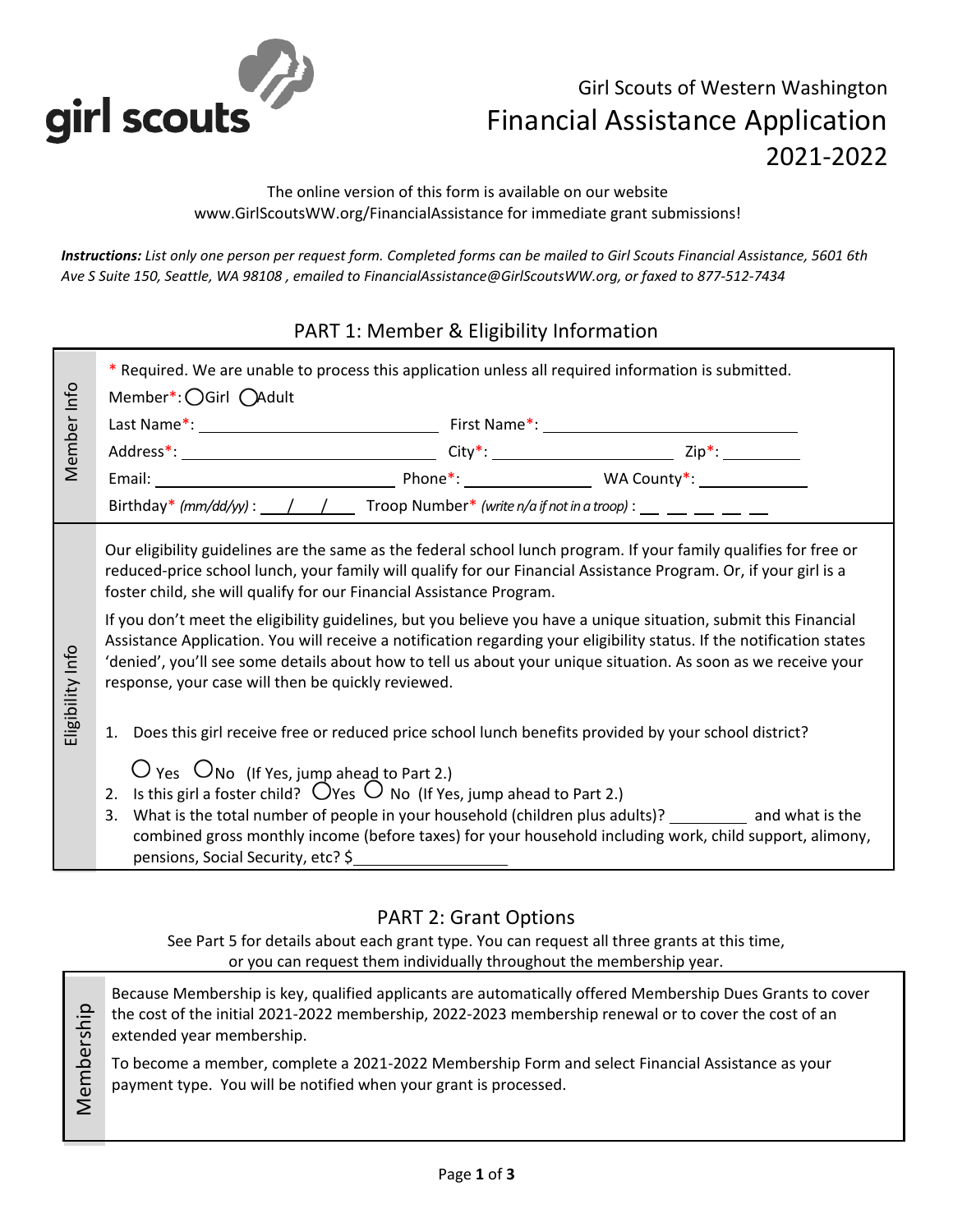

# Girl Scouts of Western Washington Financial Assistance Application 2021-2022

The online version of this form is available on our website www.GirlScoutsWW.org/FinancialAssistance for immediate grant submissions!

*Instructions: List only one person per request form. Completed forms can be mailed to Girl Scouts Financial Assistance, 5601 6th Ave S Suite 150, Seattle, WA 98108 , emailed to FinancialAssistance@GirlScoutsWW.org, or faxed to 877-512-7434*

# PART 1: Member & Eligibility Information

|                  | * Required. We are unable to process this application unless all required information is submitted.<br>Member*: OGirl OAdult                                                                                                                                                                                                                                                                                                                                                                                                                                                                                                                                                                                                                                                                                                                                                                                                                                                                                                                                                                                                                                                                                                                                                     |  |  |  |  |  |
|------------------|----------------------------------------------------------------------------------------------------------------------------------------------------------------------------------------------------------------------------------------------------------------------------------------------------------------------------------------------------------------------------------------------------------------------------------------------------------------------------------------------------------------------------------------------------------------------------------------------------------------------------------------------------------------------------------------------------------------------------------------------------------------------------------------------------------------------------------------------------------------------------------------------------------------------------------------------------------------------------------------------------------------------------------------------------------------------------------------------------------------------------------------------------------------------------------------------------------------------------------------------------------------------------------|--|--|--|--|--|
| Member Info      |                                                                                                                                                                                                                                                                                                                                                                                                                                                                                                                                                                                                                                                                                                                                                                                                                                                                                                                                                                                                                                                                                                                                                                                                                                                                                  |  |  |  |  |  |
|                  |                                                                                                                                                                                                                                                                                                                                                                                                                                                                                                                                                                                                                                                                                                                                                                                                                                                                                                                                                                                                                                                                                                                                                                                                                                                                                  |  |  |  |  |  |
|                  |                                                                                                                                                                                                                                                                                                                                                                                                                                                                                                                                                                                                                                                                                                                                                                                                                                                                                                                                                                                                                                                                                                                                                                                                                                                                                  |  |  |  |  |  |
|                  | Birthday* (mm/dd/yy) : $\angle$ / $\angle$ Troop Number* (write n/a if not in a troop) : $\angle$ $\angle$ $\angle$ $\angle$ $\angle$                                                                                                                                                                                                                                                                                                                                                                                                                                                                                                                                                                                                                                                                                                                                                                                                                                                                                                                                                                                                                                                                                                                                            |  |  |  |  |  |
| Eligibility Info | Our eligibility guidelines are the same as the federal school lunch program. If your family qualifies for free or<br>reduced-price school lunch, your family will qualify for our Financial Assistance Program. Or, if your girl is a<br>foster child, she will qualify for our Financial Assistance Program.<br>If you don't meet the eligibility guidelines, but you believe you have a unique situation, submit this Financial<br>Assistance Application. You will receive a notification regarding your eligibility status. If the notification states<br>'denied', you'll see some details about how to tell us about your unique situation. As soon as we receive your<br>response, your case will then be quickly reviewed.<br>1. Does this girl receive free or reduced price school lunch benefits provided by your school district?<br>$\bigcup$ Yes $\bigcup$ No (If Yes, jump ahead to Part 2.)<br>Is this girl a foster child? $\bigcirc$ Yes $\bigcirc$ No (If Yes, jump ahead to Part 2.)<br>2.<br>What is the total number of people in your household (children plus adults)? __________ and what is the<br>3.<br>combined gross monthly income (before taxes) for your household including work, child support, alimony,<br>pensions, Social Security, etc? \$ |  |  |  |  |  |

## PART 2: Grant Options

See Part 5 for details about each grant type. You can request all three grants at this time, or you can request them individually throughout the membership year.

Because Membership is key, qualified applicants are automatically offered Membership Dues Grants to cover Membership Membership the cost of the initial 2021-2022 membership, 2022-2023 membership renewal or to cover the cost of an extended year membership.

To become a member, complete a 2021-2022 Membership Form and select Financial Assistance as your payment type. You will be notified when your grant is processed.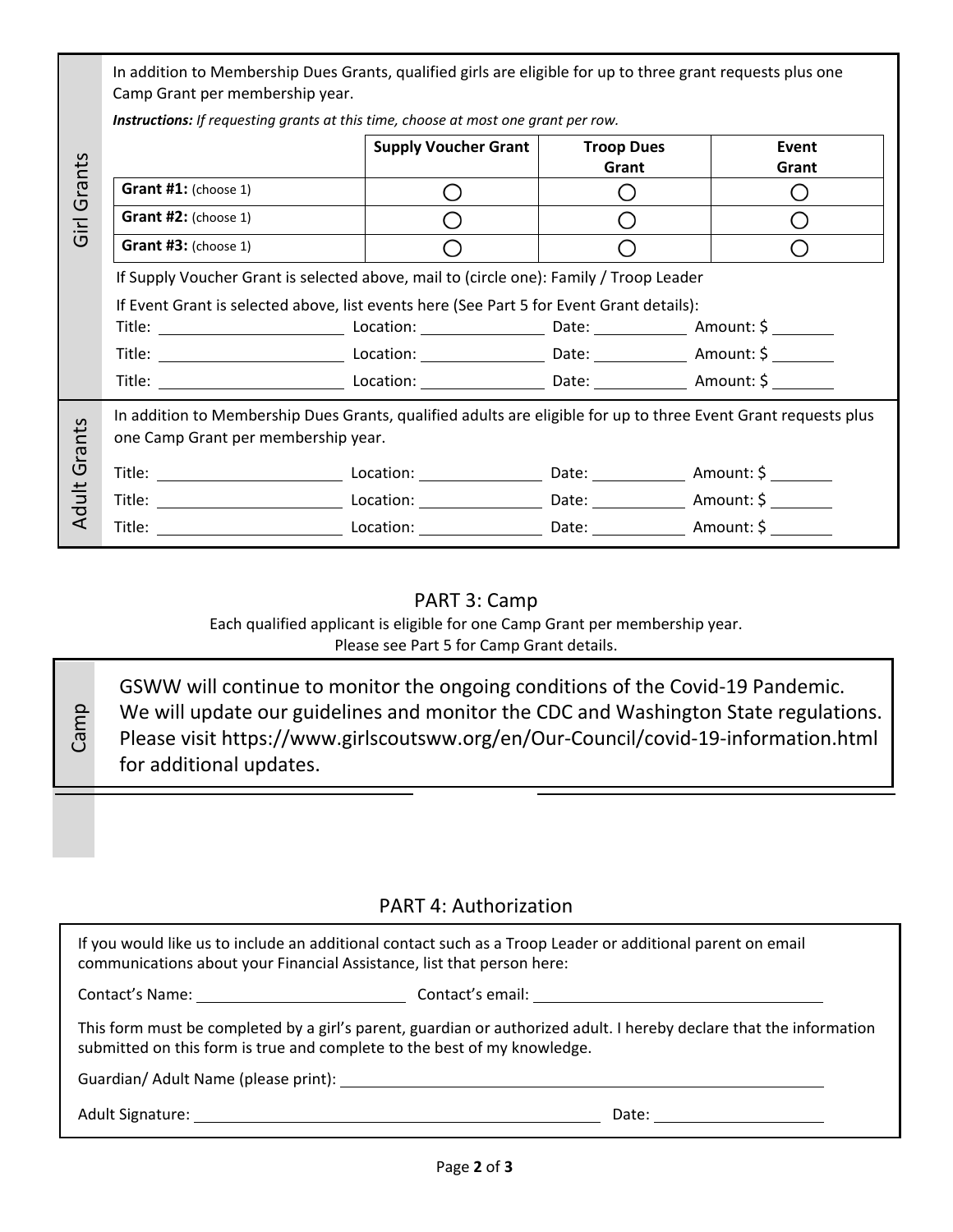In addition to Membership Dues Grants, qualified girls are eligible for up to three grant requests plus one Camp Grant per membership year.

*Instructions: If requesting grants at this time, choose at most one grant per row.*

| Girl Grants     |                                                                                          | <b>Supply Voucher Grant</b>                                                                                                                                           | <b>Troop Dues</b><br>Grant                    | Event<br>Grant |  |  |
|-----------------|------------------------------------------------------------------------------------------|-----------------------------------------------------------------------------------------------------------------------------------------------------------------------|-----------------------------------------------|----------------|--|--|
|                 | Grant #1: (choose 1)                                                                     | ◯                                                                                                                                                                     | O                                             | O              |  |  |
|                 | Grant #2: (choose 1)                                                                     | ∩                                                                                                                                                                     | $\left(\begin{array}{c} 1 \end{array}\right)$ | Ω              |  |  |
|                 | Grant #3: (choose 1)                                                                     |                                                                                                                                                                       |                                               | O              |  |  |
|                 | If Supply Voucher Grant is selected above, mail to (circle one): Family / Troop Leader   |                                                                                                                                                                       |                                               |                |  |  |
|                 | If Event Grant is selected above, list events here (See Part 5 for Event Grant details): |                                                                                                                                                                       |                                               |                |  |  |
| Grants<br>Adult |                                                                                          |                                                                                                                                                                       |                                               |                |  |  |
|                 |                                                                                          |                                                                                                                                                                       |                                               |                |  |  |
|                 |                                                                                          |                                                                                                                                                                       |                                               |                |  |  |
|                 |                                                                                          |                                                                                                                                                                       |                                               |                |  |  |
|                 |                                                                                          |                                                                                                                                                                       |                                               |                |  |  |
|                 |                                                                                          |                                                                                                                                                                       |                                               |                |  |  |
|                 |                                                                                          | PART 3: Camp<br>Each qualified applicant is eligible for one Camp Grant per membership year.<br>Please see Part 5 for Camp Grant details.                             |                                               |                |  |  |
| Camp            |                                                                                          | GSWW will continue to monitor the ongoing conditions of the Covid-19 Pandemic.<br>We will update our guidelines and monitor the CDC and Washington State regulations. |                                               |                |  |  |

#### PART 3: Camp

GSWW will continue to monitor the ongoing conditions of the Covid-19 Pandemic. We will update our guidelines and monitor the CDC and Washington State regulations. Please visit https://www.girlscoutsww.org/en/Our-Council/covid-19-information.html for additional updates.

## PART 4: Authorization

| If you would like us to include an additional contact such as a Troop Leader or additional parent on email<br>communications about your Financial Assistance, list that person here:                                          |                     |  |  |  |  |  |
|-------------------------------------------------------------------------------------------------------------------------------------------------------------------------------------------------------------------------------|---------------------|--|--|--|--|--|
|                                                                                                                                                                                                                               |                     |  |  |  |  |  |
| This form must be completed by a girl's parent, guardian or authorized adult. I hereby declare that the information<br>submitted on this form is true and complete to the best of my knowledge.                               |                     |  |  |  |  |  |
|                                                                                                                                                                                                                               |                     |  |  |  |  |  |
| Adult Signature: The Contract of the Contract of the Contract of the Contract of the Contract of the Contract of the Contract of the Contract of the Contract of the Contract of the Contract of the Contract of the Contract | Date: <u>______</u> |  |  |  |  |  |